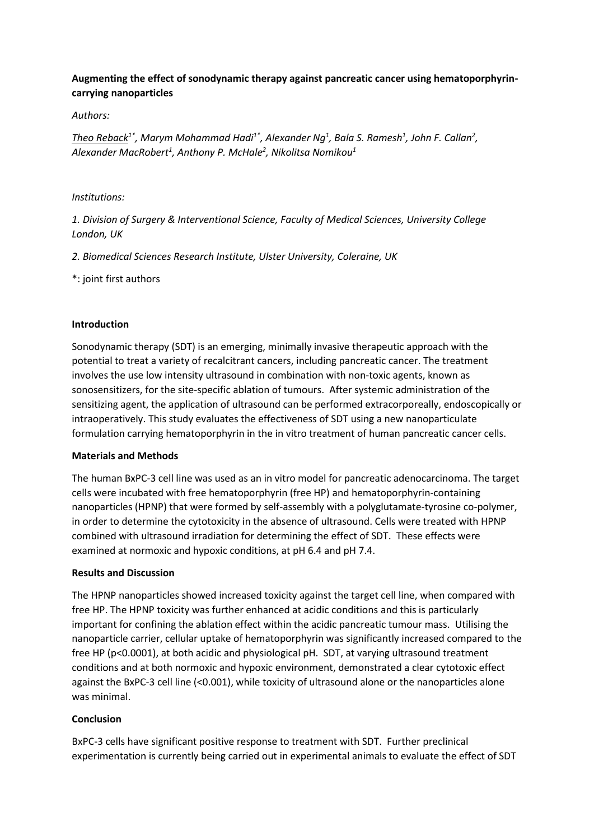# **Augmenting the effect of sonodynamic therapy against pancreatic cancer using hematoporphyrincarrying nanoparticles**

### *Authors:*

*Theo Reback1\* , Marym Mohammad Hadi1\* , Alexander Ng<sup>1</sup> , Bala S. Ramesh<sup>1</sup> , John F. Callan<sup>2</sup> , Alexander MacRobert<sup>1</sup> , Anthony P. McHale<sup>2</sup> , Nikolitsa Nomikou<sup>1</sup>*

#### *Institutions:*

*1. Division of Surgery & Interventional Science, Faculty of Medical Sciences, University College London, UK*

*2. Biomedical Sciences Research Institute, Ulster University, Coleraine, UK*

### \*: joint first authors

### **Introduction**

Sonodynamic therapy (SDT) is an emerging, minimally invasive therapeutic approach with the potential to treat a variety of recalcitrant cancers, including pancreatic cancer. The treatment involves the use low intensity ultrasound in combination with non-toxic agents, known as sonosensitizers, for the site-specific ablation of tumours. After systemic administration of the sensitizing agent, the application of ultrasound can be performed extracorporeally, endoscopically or intraoperatively. This study evaluates the effectiveness of SDT using a new nanoparticulate formulation carrying hematoporphyrin in the in vitro treatment of human pancreatic cancer cells.

#### **Materials and Methods**

The human BxPC-3 cell line was used as an in vitro model for pancreatic adenocarcinoma. The target cells were incubated with free hematoporphyrin (free HP) and hematoporphyrin-containing nanoparticles (HPNP) that were formed by self-assembly with a polyglutamate-tyrosine co-polymer, in order to determine the cytotoxicity in the absence of ultrasound. Cells were treated with HPNP combined with ultrasound irradiation for determining the effect of SDT. These effects were examined at normoxic and hypoxic conditions, at pH 6.4 and pH 7.4.

#### **Results and Discussion**

The HPNP nanoparticles showed increased toxicity against the target cell line, when compared with free HP. The HPNP toxicity was further enhanced at acidic conditions and this is particularly important for confining the ablation effect within the acidic pancreatic tumour mass. Utilising the nanoparticle carrier, cellular uptake of hematoporphyrin was significantly increased compared to the free HP (p<0.0001), at both acidic and physiological pH. SDT, at varying ultrasound treatment conditions and at both normoxic and hypoxic environment, demonstrated a clear cytotoxic effect against the BxPC-3 cell line (<0.001), while toxicity of ultrasound alone or the nanoparticles alone was minimal.

## **Conclusion**

BxPC-3 cells have significant positive response to treatment with SDT. Further preclinical experimentation is currently being carried out in experimental animals to evaluate the effect of SDT